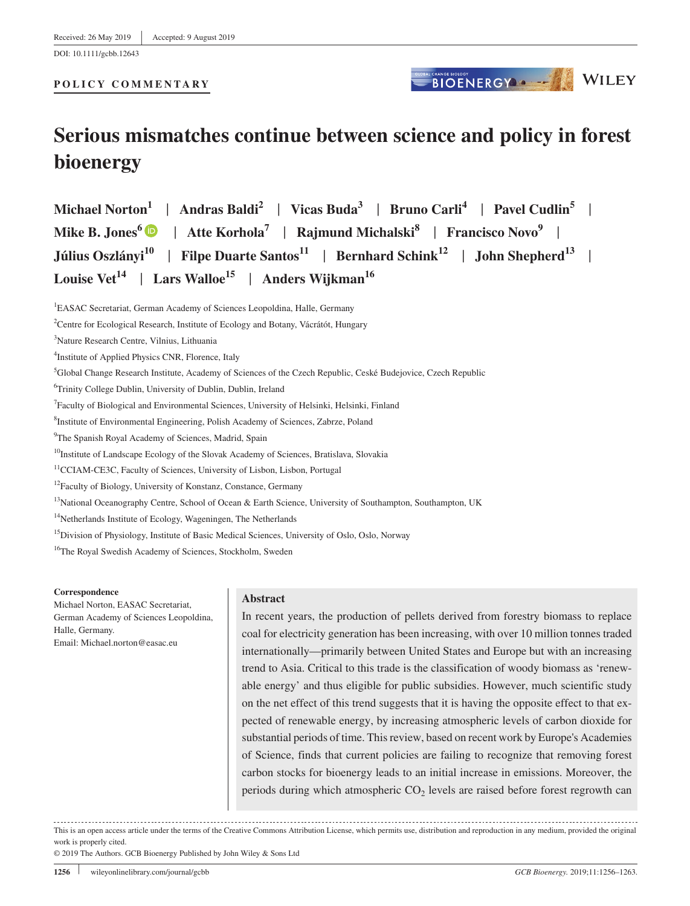DOI: 10.1111/gcbb.12643

### **POLICY COMMENTARY**

# **Serious mismatches continue between science and policy in forest bioenergy**

**Michael Norton<sup>1</sup>** | **Andras Baldi2** | **Vicas Buda3** | **Bruno Carli<sup>4</sup>** | **Pavel Cudlin5** | **Mike B. Jones<sup>6</sup>** | **Atte Korhola7** | **Rajmund Michalski8** | **Francisco Novo9** | **Július Oszlányi10** | **Filpe Duarte Santos<sup>11</sup>** | **Bernhard Schink<sup>12</sup>** | **John Shepherd13** | **Louise Vet<sup>14</sup>** | **Lars Walloe15** | **Anders Wijkman16**

<sup>14</sup>Netherlands Institute of Ecology, Wageningen, The Netherlands

<sup>15</sup>Division of Physiology, Institute of Basic Medical Sciences, University of Oslo, Oslo, Norway

<sup>16</sup>The Royal Swedish Academy of Sciences, Stockholm, Sweden

#### **Correspondence**

Michael Norton, EASAC Secretariat, German Academy of Sciences Leopoldina, Halle, Germany. Email: [Michael.norton@easac.eu](mailto:Michael.norton@easac.eu)

#### **Abstract**

In recent years, the production of pellets derived from forestry biomass to replace coal for electricity generation has been increasing, with over 10 million tonnes traded internationally—primarily between United States and Europe but with an increasing trend to Asia. Critical to this trade is the classification of woody biomass as 'renewable energy' and thus eligible for public subsidies. However, much scientific study on the net effect of this trend suggests that it is having the opposite effect to that expected of renewable energy, by increasing atmospheric levels of carbon dioxide for substantial periods of time. This review, based on recent work by Europe's Academies of Science, finds that current policies are failing to recognize that removing forest carbon stocks for bioenergy leads to an initial increase in emissions. Moreover, the periods during which atmospheric  $CO<sub>2</sub>$  levels are raised before forest regrowth can

This is an open access article under the terms of the [Creative Commons Attribution](http://creativecommons.org/licenses/by/4.0/) License, which permits use, distribution and reproduction in any medium, provided the original work is properly cited.

© 2019 The Authors. GCB Bioenergy Published by John Wiley & Sons Ltd

**BIOENERGY A CHANGE MOLDEY** 

<sup>&</sup>lt;sup>1</sup>EASAC Secretariat, German Academy of Sciences Leopoldina, Halle, Germany

<sup>&</sup>lt;sup>2</sup> Centre for Ecological Research, Institute of Ecology and Botany, Vácrátót, Hungary

<sup>3</sup> Nature Research Centre, Vilnius, Lithuania

<sup>4</sup> Institute of Applied Physics CNR, Florence, Italy

<sup>&</sup>lt;sup>5</sup>Global Change Research Institute, Academy of Sciences of the Czech Republic, Ceské Budejovice, Czech Republic

<sup>6</sup> Trinity College Dublin, University of Dublin, Dublin, Ireland

<sup>7</sup> Faculty of Biological and Environmental Sciences, University of Helsinki, Helsinki, Finland

<sup>8</sup> Institute of Environmental Engineering, Polish Academy of Sciences, Zabrze, Poland

<sup>&</sup>lt;sup>9</sup>The Spanish Royal Academy of Sciences, Madrid, Spain

<sup>&</sup>lt;sup>10</sup>Institute of Landscape Ecology of the Slovak Academy of Sciences, Bratislava, Slovakia

<sup>&</sup>lt;sup>11</sup>CCIAM-CE3C, Faculty of Sciences, University of Lisbon, Lisbon, Portugal

<sup>&</sup>lt;sup>12</sup>Faculty of Biology, University of Konstanz, Constance, Germany

<sup>&</sup>lt;sup>13</sup>National Oceanography Centre, School of Ocean & Earth Science, University of Southampton, Southampton, UK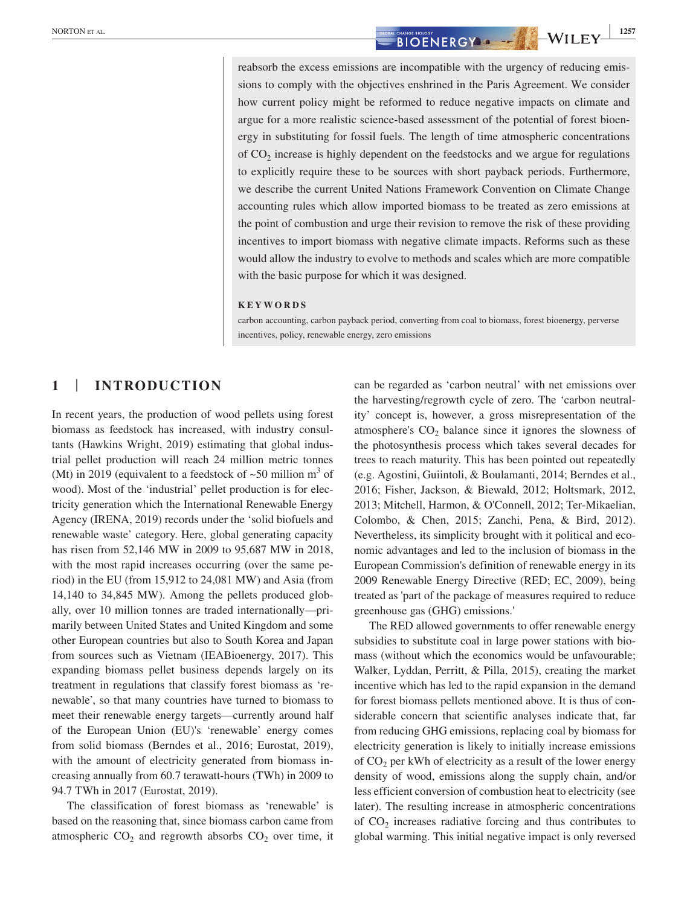reabsorb the excess emissions are incompatible with the urgency of reducing emissions to comply with the objectives enshrined in the Paris Agreement. We consider how current policy might be reformed to reduce negative impacts on climate and argue for a more realistic science‐based assessment of the potential of forest bioenergy in substituting for fossil fuels. The length of time atmospheric concentrations of  $CO<sub>2</sub>$  increase is highly dependent on the feedstocks and we argue for regulations to explicitly require these to be sources with short payback periods. Furthermore, we describe the current United Nations Framework Convention on Climate Change accounting rules which allow imported biomass to be treated as zero emissions at the point of combustion and urge their revision to remove the risk of these providing incentives to import biomass with negative climate impacts. Reforms such as these would allow the industry to evolve to methods and scales which are more compatible with the basic purpose for which it was designed.

#### **KEYWORDS**

carbon accounting, carbon payback period, converting from coal to biomass, forest bioenergy, perverse incentives, policy, renewable energy, zero emissions

# **1** | **INTRODUCTION**

In recent years, the production of wood pellets using forest biomass as feedstock has increased, with industry consultants (Hawkins Wright, 2019) estimating that global industrial pellet production will reach 24 million metric tonnes (Mt) in 2019 (equivalent to a feedstock of  $\sim 50$  million m<sup>3</sup> of wood). Most of the 'industrial' pellet production is for electricity generation which the International Renewable Energy Agency (IRENA, 2019) records under the 'solid biofuels and renewable waste' category. Here, global generating capacity has risen from 52,146 MW in 2009 to 95,687 MW in 2018, with the most rapid increases occurring (over the same period) in the EU (from 15,912 to 24,081 MW) and Asia (from 14,140 to 34,845 MW). Among the pellets produced globally, over 10 million tonnes are traded internationally—primarily between United States and United Kingdom and some other European countries but also to South Korea and Japan from sources such as Vietnam (IEABioenergy, 2017). This expanding biomass pellet business depends largely on its treatment in regulations that classify forest biomass as 'renewable', so that many countries have turned to biomass to meet their renewable energy targets—currently around half of the European Union (EU)'s 'renewable' energy comes from solid biomass (Berndes et al., 2016; Eurostat, 2019), with the amount of electricity generated from biomass increasing annually from 60.7 terawatt‐hours (TWh) in 2009 to 94.7 TWh in 2017 (Eurostat, 2019).

The classification of forest biomass as 'renewable' is based on the reasoning that, since biomass carbon came from atmospheric  $CO<sub>2</sub>$  and regrowth absorbs  $CO<sub>2</sub>$  over time, it can be regarded as 'carbon neutral' with net emissions over the harvesting/regrowth cycle of zero. The 'carbon neutrality' concept is, however, a gross misrepresentation of the atmosphere's  $CO<sub>2</sub>$  balance since it ignores the slowness of the photosynthesis process which takes several decades for trees to reach maturity. This has been pointed out repeatedly (e.g. Agostini, Guiintoli, & Boulamanti, 2014; Berndes et al., 2016; Fisher, Jackson, & Biewald, 2012; Holtsmark, 2012, 2013; Mitchell, Harmon, & O'Connell, 2012; Ter‐Mikaelian, Colombo, & Chen, 2015; Zanchi, Pena, & Bird, 2012). Nevertheless, its simplicity brought with it political and economic advantages and led to the inclusion of biomass in the European Commission's definition of renewable energy in its 2009 Renewable Energy Directive (RED; EC, 2009), being treated as 'part of the package of measures required to reduce greenhouse gas (GHG) emissions.'

The RED allowed governments to offer renewable energy subsidies to substitute coal in large power stations with biomass (without which the economics would be unfavourable; Walker, Lyddan, Perritt, & Pilla, 2015), creating the market incentive which has led to the rapid expansion in the demand for forest biomass pellets mentioned above. It is thus of considerable concern that scientific analyses indicate that, far from reducing GHG emissions, replacing coal by biomass for electricity generation is likely to initially increase emissions of  $CO<sub>2</sub>$  per kWh of electricity as a result of the lower energy density of wood, emissions along the supply chain, and/or less efficient conversion of combustion heat to electricity (see later). The resulting increase in atmospheric concentrations of  $CO<sub>2</sub>$  increases radiative forcing and thus contributes to global warming. This initial negative impact is only reversed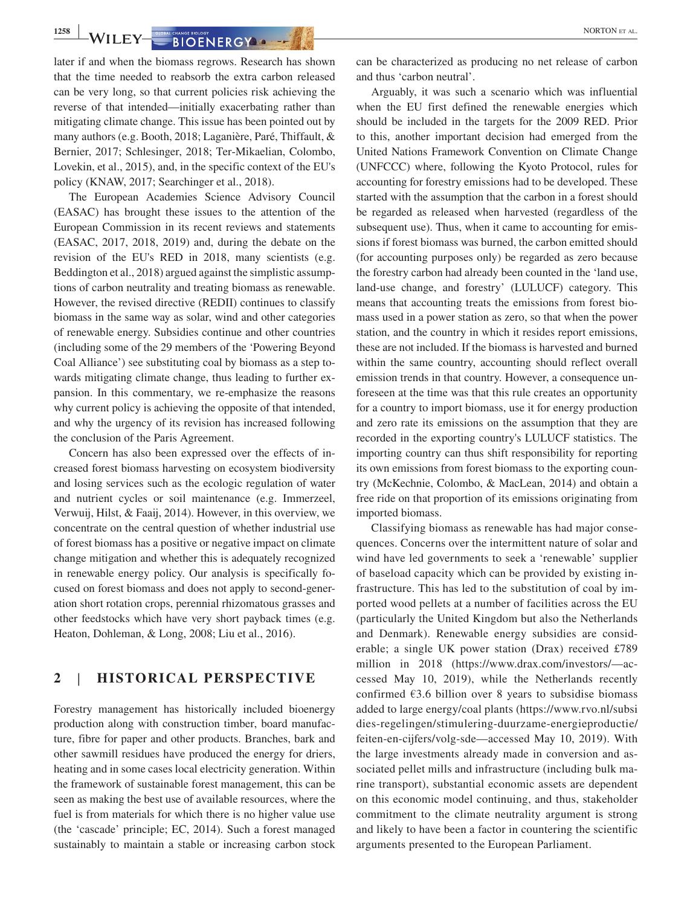**1258** WILEY **BIOENERGY CHANGE BIOLOGY** 

later if and when the biomass regrows. Research has shown that the time needed to reabsorb the extra carbon released can be very long, so that current policies risk achieving the reverse of that intended—initially exacerbating rather than mitigating climate change. This issue has been pointed out by many authors (e.g. Booth, 2018; Laganière, Paré, Thiffault, & Bernier, 2017; Schlesinger, 2018; Ter‐Mikaelian, Colombo, Lovekin, et al., 2015), and, in the specific context of the EU's policy (KNAW, 2017; Searchinger et al., 2018).

The European Academies Science Advisory Council (EASAC) has brought these issues to the attention of the European Commission in its recent reviews and statements (EASAC, 2017, 2018, 2019) and, during the debate on the revision of the EU's RED in 2018, many scientists (e.g. Beddington et al., 2018) argued against the simplistic assumptions of carbon neutrality and treating biomass as renewable. However, the revised directive (REDII) continues to classify biomass in the same way as solar, wind and other categories of renewable energy. Subsidies continue and other countries (including some of the 29 members of the 'Powering Beyond Coal Alliance') see substituting coal by biomass as a step towards mitigating climate change, thus leading to further expansion. In this commentary, we re-emphasize the reasons why current policy is achieving the opposite of that intended, and why the urgency of its revision has increased following the conclusion of the Paris Agreement.

Concern has also been expressed over the effects of increased forest biomass harvesting on ecosystem biodiversity and losing services such as the ecologic regulation of water and nutrient cycles or soil maintenance (e.g. Immerzeel, Verwuij, Hilst, & Faaij, 2014). However, in this overview, we concentrate on the central question of whether industrial use of forest biomass has a positive or negative impact on climate change mitigation and whether this is adequately recognized in renewable energy policy. Our analysis is specifically focused on forest biomass and does not apply to second‐generation short rotation crops, perennial rhizomatous grasses and other feedstocks which have very short payback times (e.g. Heaton, Dohleman, & Long, 2008; Liu et al., 2016).

# **2** | **HISTORICAL PERSPECTIVE**

Forestry management has historically included bioenergy production along with construction timber, board manufacture, fibre for paper and other products. Branches, bark and other sawmill residues have produced the energy for driers, heating and in some cases local electricity generation. Within the framework of sustainable forest management, this can be seen as making the best use of available resources, where the fuel is from materials for which there is no higher value use (the 'cascade' principle; EC, 2014). Such a forest managed sustainably to maintain a stable or increasing carbon stock can be characterized as producing no net release of carbon and thus 'carbon neutral'.

Arguably, it was such a scenario which was influential when the EU first defined the renewable energies which should be included in the targets for the 2009 RED. Prior to this, another important decision had emerged from the United Nations Framework Convention on Climate Change (UNFCCC) where, following the Kyoto Protocol, rules for accounting for forestry emissions had to be developed. These started with the assumption that the carbon in a forest should be regarded as released when harvested (regardless of the subsequent use). Thus, when it came to accounting for emissions if forest biomass was burned, the carbon emitted should (for accounting purposes only) be regarded as zero because the forestry carbon had already been counted in the 'land use, land‐use change, and forestry' (LULUCF) category. This means that accounting treats the emissions from forest biomass used in a power station as zero, so that when the power station, and the country in which it resides report emissions, these are not included. If the biomass is harvested and burned within the same country, accounting should reflect overall emission trends in that country. However, a consequence unforeseen at the time was that this rule creates an opportunity for a country to import biomass, use it for energy production and zero rate its emissions on the assumption that they are recorded in the exporting country's LULUCF statistics. The importing country can thus shift responsibility for reporting its own emissions from forest biomass to the exporting country (McKechnie, Colombo, & MacLean, 2014) and obtain a free ride on that proportion of its emissions originating from imported biomass.

Classifying biomass as renewable has had major consequences. Concerns over the intermittent nature of solar and wind have led governments to seek a 'renewable' supplier of baseload capacity which can be provided by existing infrastructure. This has led to the substitution of coal by imported wood pellets at a number of facilities across the EU (particularly the United Kingdom but also the Netherlands and Denmark). Renewable energy subsidies are considerable; a single UK power station (Drax) received £789 million in 2018 [\(https://www.drax.com/investors/—](https://www.drax.com/investors/)accessed May 10, 2019), while the Netherlands recently confirmed  $63.6$  billion over 8 years to subsidise biomass added to large energy/coal plants ([https://www.rvo.nl/subsi](https://www.rvo.nl/subsidies-regelingen/stimulering-duurzame-energieproductie/feiten-en-cijfers/volg-sde) [dies-regelingen/stimulering-duurzame-energieproductie/](https://www.rvo.nl/subsidies-regelingen/stimulering-duurzame-energieproductie/feiten-en-cijfers/volg-sde) [feiten-en-cijfers/volg-sde](https://www.rvo.nl/subsidies-regelingen/stimulering-duurzame-energieproductie/feiten-en-cijfers/volg-sde)—accessed May 10, 2019). With the large investments already made in conversion and associated pellet mills and infrastructure (including bulk marine transport), substantial economic assets are dependent on this economic model continuing, and thus, stakeholder commitment to the climate neutrality argument is strong and likely to have been a factor in countering the scientific arguments presented to the European Parliament.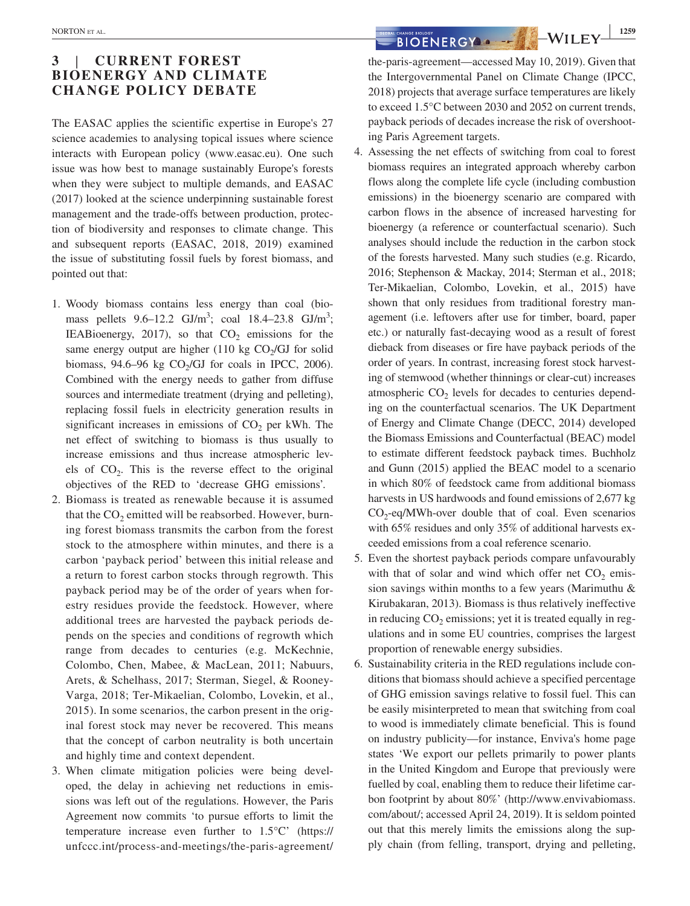# **3** | **CURRENT FOREST BIOENERGY AND CLIMATE CHANGE POLICY DEBATE**

The EASAC applies the scientific expertise in Europe's 27 science academies to analysing topical issues where science interacts with European policy ([www.easac.eu](http://www.easac.eu)). One such issue was how best to manage sustainably Europe's forests when they were subject to multiple demands, and EASAC (2017) looked at the science underpinning sustainable forest management and the trade‐offs between production, protection of biodiversity and responses to climate change. This and subsequent reports (EASAC, 2018, 2019) examined the issue of substituting fossil fuels by forest biomass, and pointed out that:

- 1. Woody biomass contains less energy than coal (biomass pellets  $9.6 - 12.2$  GJ/m<sup>3</sup>; coal  $18.4 - 23.8$  GJ/m<sup>3</sup>; IEABioenergy, 2017), so that  $CO<sub>2</sub>$  emissions for the same energy output are higher (110 kg  $CO<sub>2</sub>/GI$  for solid biomass,  $94.6-96$  kg  $CO<sub>2</sub>/GI$  for coals in IPCC, 2006). Combined with the energy needs to gather from diffuse sources and intermediate treatment (drying and pelleting), replacing fossil fuels in electricity generation results in significant increases in emissions of  $CO<sub>2</sub>$  per kWh. The net effect of switching to biomass is thus usually to increase emissions and thus increase atmospheric levels of  $CO<sub>2</sub>$ . This is the reverse effect to the original objectives of the RED to 'decrease GHG emissions'.
- 2. Biomass is treated as renewable because it is assumed that the  $CO<sub>2</sub>$  emitted will be reabsorbed. However, burning forest biomass transmits the carbon from the forest stock to the atmosphere within minutes, and there is a carbon 'payback period' between this initial release and a return to forest carbon stocks through regrowth. This payback period may be of the order of years when forestry residues provide the feedstock. However, where additional trees are harvested the payback periods depends on the species and conditions of regrowth which range from decades to centuries (e.g. McKechnie, Colombo, Chen, Mabee, & MacLean, 2011; Nabuurs, Arets, & Schelhass, 2017; Sterman, Siegel, & Rooney‐ Varga, 2018; Ter‐Mikaelian, Colombo, Lovekin, et al., 2015). In some scenarios, the carbon present in the original forest stock may never be recovered. This means that the concept of carbon neutrality is both uncertain and highly time and context dependent.
- 3. When climate mitigation policies were being developed, the delay in achieving net reductions in emissions was left out of the regulations. However, the Paris Agreement now commits 'to pursue efforts to limit the temperature increase even further to 1.5°C' [\(https://](https://unfccc.int/process-and-meetings/the-paris-agreement/the-paris-agreement) [unfccc.int/process-and-meetings/the-paris-agreement/](https://unfccc.int/process-and-meetings/the-paris-agreement/the-paris-agreement)

**NORTON ET AL. 1259**<br> **BIOENERGY A**  $\rightarrow$  **WILEY**  $\frac{1259}{\sqrt{25}}$ 

[the-paris-agreement—](https://unfccc.int/process-and-meetings/the-paris-agreement/the-paris-agreement)accessed May 10, 2019). Given that the Intergovernmental Panel on Climate Change (IPCC, 2018) projects that average surface temperatures are likely to exceed 1.5°C between 2030 and 2052 on current trends, payback periods of decades increase the risk of overshooting Paris Agreement targets.

- 4. Assessing the net effects of switching from coal to forest biomass requires an integrated approach whereby carbon flows along the complete life cycle (including combustion emissions) in the bioenergy scenario are compared with carbon flows in the absence of increased harvesting for bioenergy (a reference or counterfactual scenario). Such analyses should include the reduction in the carbon stock of the forests harvested. Many such studies (e.g. Ricardo, 2016; Stephenson & Mackay, 2014; Sterman et al., 2018; Ter‐Mikaelian, Colombo, Lovekin, et al., 2015) have shown that only residues from traditional forestry management (i.e. leftovers after use for timber, board, paper etc.) or naturally fast‐decaying wood as a result of forest dieback from diseases or fire have payback periods of the order of years. In contrast, increasing forest stock harvesting of stemwood (whether thinnings or clear‐cut) increases atmospheric  $CO<sub>2</sub>$  levels for decades to centuries depending on the counterfactual scenarios. The UK Department of Energy and Climate Change (DECC, 2014) developed the Biomass Emissions and Counterfactual (BEAC) model to estimate different feedstock payback times. Buchholz and Gunn (2015) applied the BEAC model to a scenario in which 80% of feedstock came from additional biomass harvests in US hardwoods and found emissions of 2,677 kg  $CO<sub>2</sub>$ -eq/MWh-over double that of coal. Even scenarios with 65% residues and only 35% of additional harvests exceeded emissions from a coal reference scenario.
- 5. Even the shortest payback periods compare unfavourably with that of solar and wind which offer net  $CO<sub>2</sub>$  emission savings within months to a few years (Marimuthu & Kirubakaran, 2013). Biomass is thus relatively ineffective in reducing  $CO<sub>2</sub>$  emissions; yet it is treated equally in regulations and in some EU countries, comprises the largest proportion of renewable energy subsidies.
- 6. Sustainability criteria in the RED regulations include conditions that biomass should achieve a specified percentage of GHG emission savings relative to fossil fuel. This can be easily misinterpreted to mean that switching from coal to wood is immediately climate beneficial. This is found on industry publicity—for instance, Enviva's home page states 'We export our pellets primarily to power plants in the United Kingdom and Europe that previously were fuelled by coal, enabling them to reduce their lifetime carbon footprint by about 80%' ([http://www.envivabiomass.](http://www.envivabiomass.com/about/) [com/about/;](http://www.envivabiomass.com/about/) accessed April 24, 2019). It is seldom pointed out that this merely limits the emissions along the supply chain (from felling, transport, drying and pelleting,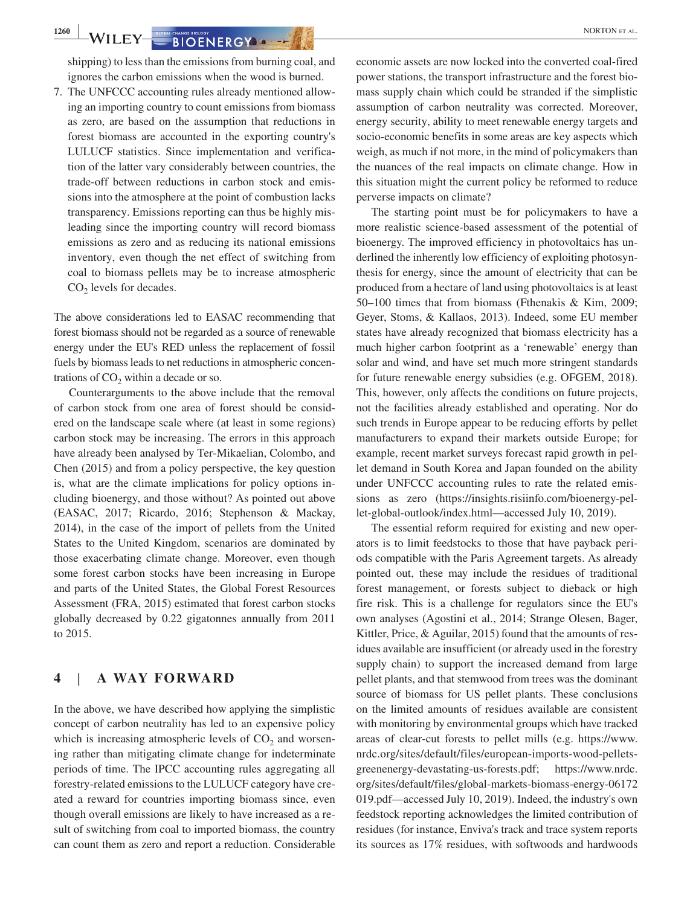**1260** WILEY SIDENERGY **1260** NORTON ET AL.

shipping) to less than the emissions from burning coal, and ignores the carbon emissions when the wood is burned.

7. The UNFCCC accounting rules already mentioned allowing an importing country to count emissions from biomass as zero, are based on the assumption that reductions in forest biomass are accounted in the exporting country's LULUCF statistics. Since implementation and verification of the latter vary considerably between countries, the trade‐off between reductions in carbon stock and emissions into the atmosphere at the point of combustion lacks transparency. Emissions reporting can thus be highly misleading since the importing country will record biomass emissions as zero and as reducing its national emissions inventory, even though the net effect of switching from coal to biomass pellets may be to increase atmospheric  $CO<sub>2</sub>$  levels for decades.

The above considerations led to EASAC recommending that forest biomass should not be regarded as a source of renewable energy under the EU's RED unless the replacement of fossil fuels by biomass leads to net reductions in atmospheric concentrations of  $CO<sub>2</sub>$  within a decade or so.

Counterarguments to the above include that the removal of carbon stock from one area of forest should be considered on the landscape scale where (at least in some regions) carbon stock may be increasing. The errors in this approach have already been analysed by Ter-Mikaelian, Colombo, and Chen (2015) and from a policy perspective, the key question is, what are the climate implications for policy options including bioenergy, and those without? As pointed out above (EASAC, 2017; Ricardo, 2016; Stephenson & Mackay, 2014), in the case of the import of pellets from the United States to the United Kingdom, scenarios are dominated by those exacerbating climate change. Moreover, even though some forest carbon stocks have been increasing in Europe and parts of the United States, the Global Forest Resources Assessment (FRA, 2015) estimated that forest carbon stocks globally decreased by 0.22 gigatonnes annually from 2011 to 2015.

# **4** | **A WAY FORWARD**

In the above, we have described how applying the simplistic concept of carbon neutrality has led to an expensive policy which is increasing atmospheric levels of  $CO<sub>2</sub>$  and worsening rather than mitigating climate change for indeterminate periods of time. The IPCC accounting rules aggregating all forestry‐related emissions to the LULUCF category have created a reward for countries importing biomass since, even though overall emissions are likely to have increased as a result of switching from coal to imported biomass, the country can count them as zero and report a reduction. Considerable economic assets are now locked into the converted coal‐fired power stations, the transport infrastructure and the forest biomass supply chain which could be stranded if the simplistic assumption of carbon neutrality was corrected. Moreover, energy security, ability to meet renewable energy targets and socio‐economic benefits in some areas are key aspects which weigh, as much if not more, in the mind of policymakers than the nuances of the real impacts on climate change. How in this situation might the current policy be reformed to reduce perverse impacts on climate?

The starting point must be for policymakers to have a more realistic science‐based assessment of the potential of bioenergy. The improved efficiency in photovoltaics has underlined the inherently low efficiency of exploiting photosynthesis for energy, since the amount of electricity that can be produced from a hectare of land using photovoltaics is at least 50–100 times that from biomass (Fthenakis & Kim, 2009; Geyer, Stoms, & Kallaos, 2013). Indeed, some EU member states have already recognized that biomass electricity has a much higher carbon footprint as a 'renewable' energy than solar and wind, and have set much more stringent standards for future renewable energy subsidies (e.g. OFGEM, 2018). This, however, only affects the conditions on future projects, not the facilities already established and operating. Nor do such trends in Europe appear to be reducing efforts by pellet manufacturers to expand their markets outside Europe; for example, recent market surveys forecast rapid growth in pellet demand in South Korea and Japan founded on the ability under UNFCCC accounting rules to rate the related emissions as zero [\(https://insights.risiinfo.com/bioenergy-pel](https://insights.risiinfo.com/bioenergy-pellet-global-outlook/index.html)[let-global-outlook/index.html](https://insights.risiinfo.com/bioenergy-pellet-global-outlook/index.html)—accessed July 10, 2019).

The essential reform required for existing and new operators is to limit feedstocks to those that have payback periods compatible with the Paris Agreement targets. As already pointed out, these may include the residues of traditional forest management, or forests subject to dieback or high fire risk. This is a challenge for regulators since the EU's own analyses (Agostini et al., 2014; Strange Olesen, Bager, Kittler, Price, & Aguilar, 2015) found that the amounts of residues available are insufficient (or already used in the forestry supply chain) to support the increased demand from large pellet plants, and that stemwood from trees was the dominant source of biomass for US pellet plants. These conclusions on the limited amounts of residues available are consistent with monitoring by environmental groups which have tracked areas of clear‐cut forests to pellet mills (e.g. [https://www.](https://www.nrdc.org/sites/default/files/european-imports-wood-pellets-greenenergy-devastating-us-forests.pdf) [nrdc.org/sites/default/files/european-imports-wood-pellets](https://www.nrdc.org/sites/default/files/european-imports-wood-pellets-greenenergy-devastating-us-forests.pdf)[greenenergy-devastating-us-forests.pdf;](https://www.nrdc.org/sites/default/files/european-imports-wood-pellets-greenenergy-devastating-us-forests.pdf) [https://www.nrdc.](https://www.nrdc.org/sites/default/files/global-markets-biomass-energy-06172019.pdf) [org/sites/default/files/global-markets-biomass-energy-06172](https://www.nrdc.org/sites/default/files/global-markets-biomass-energy-06172019.pdf) [019.pdf](https://www.nrdc.org/sites/default/files/global-markets-biomass-energy-06172019.pdf)—accessed July 10, 2019). Indeed, the industry's own feedstock reporting acknowledges the limited contribution of residues (for instance, Enviva's track and trace system reports its sources as 17% residues, with softwoods and hardwoods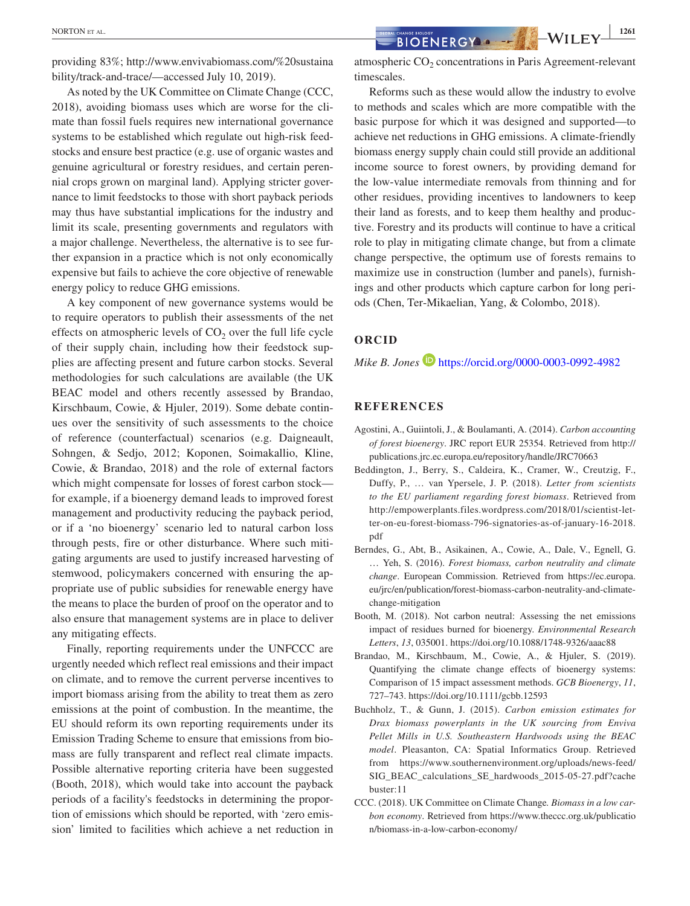providing 83%; [http://www.envivabiomass.com/%20sustaina](http://www.envivabiomass.com/ sustainability/track-and-trace/) [bility/track-and-trace/](http://www.envivabiomass.com/ sustainability/track-and-trace/)—accessed July 10, 2019).

As noted by the UK Committee on Climate Change (CCC, 2018), avoiding biomass uses which are worse for the climate than fossil fuels requires new international governance systems to be established which regulate out high-risk feedstocks and ensure best practice (e.g. use of organic wastes and genuine agricultural or forestry residues, and certain perennial crops grown on marginal land). Applying stricter governance to limit feedstocks to those with short payback periods may thus have substantial implications for the industry and limit its scale, presenting governments and regulators with a major challenge. Nevertheless, the alternative is to see further expansion in a practice which is not only economically expensive but fails to achieve the core objective of renewable energy policy to reduce GHG emissions.

A key component of new governance systems would be to require operators to publish their assessments of the net effects on atmospheric levels of  $CO<sub>2</sub>$  over the full life cycle of their supply chain, including how their feedstock supplies are affecting present and future carbon stocks. Several methodologies for such calculations are available (the UK BEAC model and others recently assessed by Brandao, Kirschbaum, Cowie, & Hjuler, 2019). Some debate continues over the sensitivity of such assessments to the choice of reference (counterfactual) scenarios (e.g. Daigneault, Sohngen, & Sedjo, 2012; Koponen, Soimakallio, Kline, Cowie, & Brandao, 2018) and the role of external factors which might compensate for losses of forest carbon stock for example, if a bioenergy demand leads to improved forest management and productivity reducing the payback period, or if a 'no bioenergy' scenario led to natural carbon loss through pests, fire or other disturbance. Where such mitigating arguments are used to justify increased harvesting of stemwood, policymakers concerned with ensuring the appropriate use of public subsidies for renewable energy have the means to place the burden of proof on the operator and to also ensure that management systems are in place to deliver any mitigating effects.

Finally, reporting requirements under the UNFCCC are urgently needed which reflect real emissions and their impact on climate, and to remove the current perverse incentives to import biomass arising from the ability to treat them as zero emissions at the point of combustion. In the meantime, the EU should reform its own reporting requirements under its Emission Trading Scheme to ensure that emissions from biomass are fully transparent and reflect real climate impacts. Possible alternative reporting criteria have been suggested (Booth, 2018), which would take into account the payback periods of a facility's feedstocks in determining the proportion of emissions which should be reported, with 'zero emission' limited to facilities which achieve a net reduction in

Reforms such as these would allow the industry to evolve to methods and scales which are more compatible with the basic purpose for which it was designed and supported—to achieve net reductions in GHG emissions. A climate‐friendly biomass energy supply chain could still provide an additional income source to forest owners, by providing demand for the low‐value intermediate removals from thinning and for other residues, providing incentives to landowners to keep their land as forests, and to keep them healthy and productive. Forestry and its products will continue to have a critical role to play in mitigating climate change, but from a climate change perspective, the optimum use of forests remains to maximize use in construction (lumber and panels), furnishings and other products which capture carbon for long periods (Chen, Ter‐Mikaelian, Yang, & Colombo, 2018).

## **ORCID**

*Mike B. Jones* **b** <https://orcid.org/0000-0003-0992-4982>

#### **REFERENCES**

- Agostini, A., Guiintoli, J., & Boulamanti, A. (2014). *Carbon accounting of forest bioenergy*. JRC report EUR 25354. Retrieved from [http://](http://publications.jrc.ec.europa.eu/repository/handle/JRC70663) [publications.jrc.ec.europa.eu/repository/handle/JRC70663](http://publications.jrc.ec.europa.eu/repository/handle/JRC70663)
- Beddington, J., Berry, S., Caldeira, K., Cramer, W., Creutzig, F., Duffy, P., … van Ypersele, J. P. (2018). *Letter from scientists to the EU parliament regarding forest biomass*. Retrieved from [http://empowerplants.files.wordpress.com/2018/01/scientist-let](http://empowerplants.files.wordpress.com/2018/01/scientist-letter-on-eu-forest-biomass-796-signatories-as-of-january-16-2018.pdf)[ter-on-eu-forest-biomass-796-signatories-as-of-january-16-2018.](http://empowerplants.files.wordpress.com/2018/01/scientist-letter-on-eu-forest-biomass-796-signatories-as-of-january-16-2018.pdf) [pdf](http://empowerplants.files.wordpress.com/2018/01/scientist-letter-on-eu-forest-biomass-796-signatories-as-of-january-16-2018.pdf)
- Berndes, G., Abt, B., Asikainen, A., Cowie, A., Dale, V., Egnell, G. … Yeh, S. (2016). *Forest biomass, carbon neutrality and climate change*. European Commission. Retrieved from [https://ec.europa.](https://ec.europa.eu/jrc/en/publication/forest-biomass-carbon-neutrality-and-climate-change-mitigation) [eu/jrc/en/publication/forest-biomass-carbon-neutrality-and-climate](https://ec.europa.eu/jrc/en/publication/forest-biomass-carbon-neutrality-and-climate-change-mitigation)[change-mitigation](https://ec.europa.eu/jrc/en/publication/forest-biomass-carbon-neutrality-and-climate-change-mitigation)
- Booth, M. (2018). Not carbon neutral: Assessing the net emissions impact of residues burned for bioenergy. *Environmental Research Letters*, *13*, 035001. <https://doi.org/10.1088/1748-9326/aaac88>
- Brandao, M., Kirschbaum, M., Cowie, A., & Hjuler, S. (2019). Quantifying the climate change effects of bioenergy systems: Comparison of 15 impact assessment methods. *GCB Bioenergy*, *11*, 727–743. <https://doi.org/10.1111/gcbb.12593>
- Buchholz, T., & Gunn, J. (2015). *Carbon emission estimates for Drax biomass powerplants in the UK sourcing from Enviva Pellet Mills in U.S. Southeastern Hardwoods using the BEAC model*. Pleasanton, CA: Spatial Informatics Group. Retrieved from [https://www.southernenvironment.org/uploads/news-feed/](https://www.southernenvironment.org/uploads/news-feed/SIG_BEAC_calculations_SE_hardwoods_2015-05-27.pdf?cachebuster:11) [SIG\\_BEAC\\_calculations\\_SE\\_hardwoods\\_2015-05-27.pdf?cache](https://www.southernenvironment.org/uploads/news-feed/SIG_BEAC_calculations_SE_hardwoods_2015-05-27.pdf?cachebuster:11) [buster:11](https://www.southernenvironment.org/uploads/news-feed/SIG_BEAC_calculations_SE_hardwoods_2015-05-27.pdf?cachebuster:11)
- CCC. (2018). UK Committee on Climate Change*. Biomass in a low carbon economy*. Retrieved from [https://www.theccc.org.uk/publicatio](https://www.theccc.org.uk/publication/biomass-in-a-low-carbon-economy/) [n/biomass-in-a-low-carbon-economy/](https://www.theccc.org.uk/publication/biomass-in-a-low-carbon-economy/)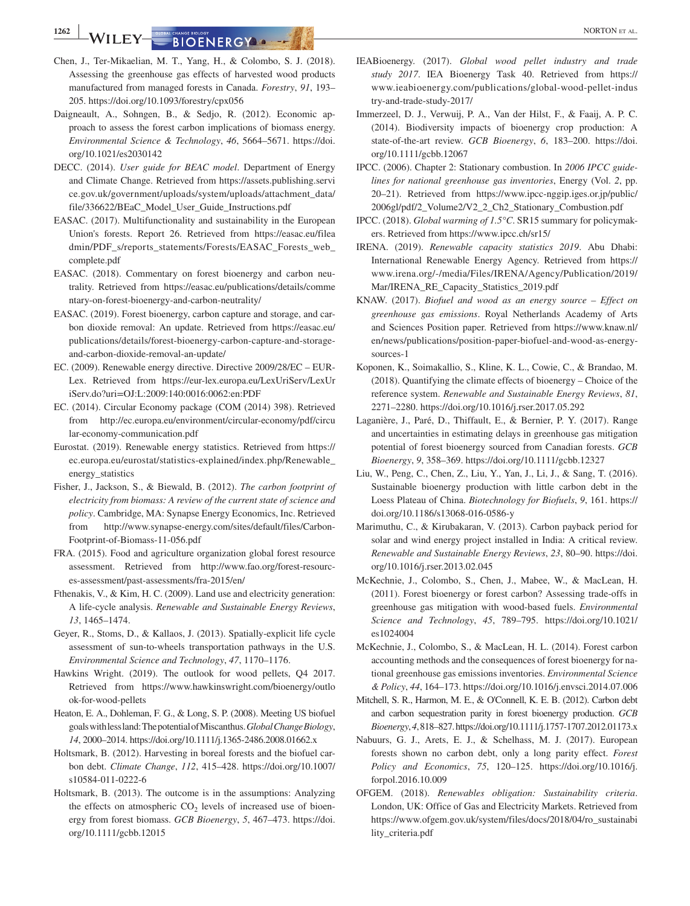**1262 WILEY GUERGY A CONSUMERGY A CHANGE BIOO ENERGY** 

- Chen, J., Ter‐Mikaelian, M. T., Yang, H., & Colombo, S. J. (2018). Assessing the greenhouse gas effects of harvested wood products manufactured from managed forests in Canada. *Forestry*, *91*, 193– 205.<https://doi.org/10.1093/forestry/cpx056>
- Daigneault, A., Sohngen, B., & Sedjo, R. (2012). Economic approach to assess the forest carbon implications of biomass energy. *Environmental Science & Technology*, *46*, 5664–5671. [https://doi.](https://doi.org/10.1021/es2030142) [org/10.1021/es2030142](https://doi.org/10.1021/es2030142)
- DECC. (2014). *User guide for BEAC model*. Department of Energy and Climate Change. Retrieved from [https://assets.publishing.servi](https://assets.publishing.service.gov.uk/government/uploads/system/uploads/attachment_data/file/336622/BEaC_Model_User_Guide_Instructions.pdf) [ce.gov.uk/government/uploads/system/uploads/attachment\\_data/](https://assets.publishing.service.gov.uk/government/uploads/system/uploads/attachment_data/file/336622/BEaC_Model_User_Guide_Instructions.pdf) [file/336622/BEaC\\_Model\\_User\\_Guide\\_Instructions.pdf](https://assets.publishing.service.gov.uk/government/uploads/system/uploads/attachment_data/file/336622/BEaC_Model_User_Guide_Instructions.pdf)
- EASAC. (2017). Multifunctionality and sustainability in the European Union's forests. Report 26. Retrieved from [https://easac.eu/filea](https://easac.eu/fileadmin/PDF_s/reports_statements/Forests/EASAC_Forests_web_complete.pdf) [dmin/PDF\\_s/reports\\_statements/Forests/EASAC\\_Forests\\_web\\_](https://easac.eu/fileadmin/PDF_s/reports_statements/Forests/EASAC_Forests_web_complete.pdf) [complete.pdf](https://easac.eu/fileadmin/PDF_s/reports_statements/Forests/EASAC_Forests_web_complete.pdf)
- EASAC. (2018). Commentary on forest bioenergy and carbon neutrality. Retrieved from [https://easac.eu/publications/details/comme](https://easac.eu/publications/details/commentary-on-forest-bioenergy-and-carbon-neutrality/) [ntary-on-forest-bioenergy-and-carbon-neutrality/](https://easac.eu/publications/details/commentary-on-forest-bioenergy-and-carbon-neutrality/)
- EASAC. (2019). Forest bioenergy, carbon capture and storage, and carbon dioxide removal: An update. Retrieved from [https://easac.eu/](https://easac.eu/publications/details/forest-bioenergy-carbon-capture-and-storage-and-carbon-dioxide-removal-an-update/) [publications/details/forest-bioenergy-carbon-capture-and-storage](https://easac.eu/publications/details/forest-bioenergy-carbon-capture-and-storage-and-carbon-dioxide-removal-an-update/)[and-carbon-dioxide-removal-an-update/](https://easac.eu/publications/details/forest-bioenergy-carbon-capture-and-storage-and-carbon-dioxide-removal-an-update/)
- EC. (2009). Renewable energy directive. Directive 2009/28/EC EUR‐ Lex. Retrieved from [https://eur-lex.europa.eu/LexUriServ/LexUr](https://eur-lex.europa.eu/LexUriServ/LexUriServ.do?uri=OJ:L:2009:140:0016:0062:en:PDF) [iServ.do?uri=OJ:L:2009:140:0016:0062:en:PDF](https://eur-lex.europa.eu/LexUriServ/LexUriServ.do?uri=OJ:L:2009:140:0016:0062:en:PDF)
- EC. (2014). Circular Economy package (COM (2014) 398). Retrieved from [http://ec.europa.eu/environment/circular-economy/pdf/circu](http://ec.europa.eu/environment/circular-economy/pdf/circular-economy-communication.pdf) [lar-economy-communication.pdf](http://ec.europa.eu/environment/circular-economy/pdf/circular-economy-communication.pdf)
- Eurostat. (2019). Renewable energy statistics. Retrieved from [https://](https://ec.europa.eu/eurostat/statistics-explained/index.php/Renewable_energy_statistics) [ec.europa.eu/eurostat/statistics-explained/index.php/Renewable\\_](https://ec.europa.eu/eurostat/statistics-explained/index.php/Renewable_energy_statistics) [energy\\_statistics](https://ec.europa.eu/eurostat/statistics-explained/index.php/Renewable_energy_statistics)
- Fisher, J., Jackson, S., & Biewald, B. (2012). *The carbon footprint of electricity from biomass: A review of the current state of science and policy*. Cambridge, MA: Synapse Energy Economics, Inc. Retrieved from [http://www.synapse-energy.com/sites/default/files/Carbon-](http://www.synapse-energy.com/sites/default/files/Carbon-Footprint-of-Biomass-11-056.pdf)[Footprint-of-Biomass-11-056.pdf](http://www.synapse-energy.com/sites/default/files/Carbon-Footprint-of-Biomass-11-056.pdf)
- FRA. (2015). Food and agriculture organization global forest resource assessment. Retrieved from [http://www.fao.org/forest-resourc](http://www.fao.org/forest-resources-assessment/past-assessments/fra-2015/en/)[es-assessment/past-assessments/fra-2015/en/](http://www.fao.org/forest-resources-assessment/past-assessments/fra-2015/en/)
- Fthenakis, V., & Kim, H. C. (2009). Land use and electricity generation: A life‐cycle analysis. *Renewable and Sustainable Energy Reviews*, *13*, 1465–1474.
- Geyer, R., Stoms, D., & Kallaos, J. (2013). Spatially‐explicit life cycle assessment of sun‐to‐wheels transportation pathways in the U.S. *Environmental Science and Technology*, *47*, 1170–1176.
- Hawkins Wright. (2019). The outlook for wood pellets, Q4 2017. Retrieved from [https://www.hawkinswright.com/bioenergy/outlo](https://www.hawkinswright.com/bioenergy/outlook-for-wood-pellets) [ok-for-wood-pellets](https://www.hawkinswright.com/bioenergy/outlook-for-wood-pellets)
- Heaton, E. A., Dohleman, F. G., & Long, S. P. (2008). Meeting US biofuel goals with less land: The potential of Miscanthus. *Global Change Biology*, *14*, 2000–2014.<https://doi.org/10.1111/j.1365-2486.2008.01662.x>
- Holtsmark, B. (2012). Harvesting in boreal forests and the biofuel carbon debt. *Climate Change*, *112*, 415–428. [https://doi.org/10.1007/](https://doi.org/10.1007/s10584-011-0222-6) [s10584-011-0222-6](https://doi.org/10.1007/s10584-011-0222-6)
- Holtsmark, B. (2013). The outcome is in the assumptions: Analyzing the effects on atmospheric  $CO<sub>2</sub>$  levels of increased use of bioenergy from forest biomass. *GCB Bioenergy*, *5*, 467–473. [https://doi.](https://doi.org/10.1111/gcbb.12015) [org/10.1111/gcbb.12015](https://doi.org/10.1111/gcbb.12015)
- IEABioenergy. (2017). *Global wood pellet industry and trade study 2017*. IEA Bioenergy Task 40. Retrieved from [https://](https://www.ieabioenergy.com/publications/global-wood-pellet-industry-and-trade-study-2017/) [www.ieabioenergy.com/publications/global-wood-pellet-indus](https://www.ieabioenergy.com/publications/global-wood-pellet-industry-and-trade-study-2017/) [try-and-trade-study-2017/](https://www.ieabioenergy.com/publications/global-wood-pellet-industry-and-trade-study-2017/)
- Immerzeel, D. J., Verwuij, P. A., Van der Hilst, F., & Faaij, A. P. C. (2014). Biodiversity impacts of bioenergy crop production: A state‐of‐the‐art review. *GCB Bioenergy*, *6*, 183–200. [https://doi.](https://doi.org/10.1111/gcbb.12067) [org/10.1111/gcbb.12067](https://doi.org/10.1111/gcbb.12067)
- IPCC. (2006). Chapter 2: Stationary combustion. In *2006 IPCC guidelines for national greenhouse gas inventories*, Energy (Vol. *2*, pp. 20–21). Retrieved from [https://www.ipcc-nggip.iges.or.jp/public/](https://www.ipcc-nggip.iges.or.jp/public/2006gl/pdf/2_Volume2/V2_2_Ch2_Stationary_Combustion.pdf) [2006gl/pdf/2\\_Volume2/V2\\_2\\_Ch2\\_Stationary\\_Combustion.pdf](https://www.ipcc-nggip.iges.or.jp/public/2006gl/pdf/2_Volume2/V2_2_Ch2_Stationary_Combustion.pdf)
- IPCC. (2018). *Global warming of 1.5°C*. SR15 summary for policymakers. Retrieved from<https://www.ipcc.ch/sr15/>
- IRENA. (2019). *Renewable capacity statistics 2019*. Abu Dhabi: International Renewable Energy Agency. Retrieved from [https://](https://www.irena.org/-/media/Files/IRENA/Agency/Publication/2019/Mar/IRENA_RE_Capacity_Statistics_2019.pdf) [www.irena.org/-/media/Files/IRENA/Agency/Publication/2019/](https://www.irena.org/-/media/Files/IRENA/Agency/Publication/2019/Mar/IRENA_RE_Capacity_Statistics_2019.pdf) [Mar/IRENA\\_RE\\_Capacity\\_Statistics\\_2019.pdf](https://www.irena.org/-/media/Files/IRENA/Agency/Publication/2019/Mar/IRENA_RE_Capacity_Statistics_2019.pdf)
- KNAW. (2017). *Biofuel and wood as an energy source Effect on greenhouse gas emissions*. Royal Netherlands Academy of Arts and Sciences Position paper. Retrieved from [https://www.knaw.nl/](https://www.knaw.nl/en/news/publications/position-paper-biofuel-and-wood-as-energy-sources-1) [en/news/publications/position-paper-biofuel-and-wood-as-energy](https://www.knaw.nl/en/news/publications/position-paper-biofuel-and-wood-as-energy-sources-1)[sources-1](https://www.knaw.nl/en/news/publications/position-paper-biofuel-and-wood-as-energy-sources-1)
- Koponen, K., Soimakallio, S., Kline, K. L., Cowie, C., & Brandao, M. (2018). Quantifying the climate effects of bioenergy – Choice of the reference system. *Renewable and Sustainable Energy Reviews*, *81*, 2271–2280.<https://doi.org/10.1016/j.rser.2017.05.292>
- Laganière, J., Paré, D., Thiffault, E., & Bernier, P. Y. (2017). Range and uncertainties in estimating delays in greenhouse gas mitigation potential of forest bioenergy sourced from Canadian forests. *GCB Bioenergy*, *9*, 358–369. <https://doi.org/10.1111/gcbb.12327>
- Liu, W., Peng, C., Chen, Z., Liu, Y., Yan, J., Li, J., & Sang, T. (2016). Sustainable bioenergy production with little carbon debt in the Loess Plateau of China. *Biotechnology for Biofuels*, *9*, 161. [https://](https://doi.org/10.1186/s13068-016-0586-y) [doi.org/10.1186/s13068-016-0586-y](https://doi.org/10.1186/s13068-016-0586-y)
- Marimuthu, C., & Kirubakaran, V. (2013). Carbon payback period for solar and wind energy project installed in India: A critical review. *Renewable and Sustainable Energy Reviews*, *23*, 80–90. [https://doi.](https://doi.org/10.1016/j.rser.2013.02.045) [org/10.1016/j.rser.2013.02.045](https://doi.org/10.1016/j.rser.2013.02.045)
- McKechnie, J., Colombo, S., Chen, J., Mabee, W., & MacLean, H. (2011). Forest bioenergy or forest carbon? Assessing trade‐offs in greenhouse gas mitigation with wood‐based fuels. *Environmental Science and Technology*, *45*, 789–795. [https://doi.org/10.1021/](https://doi.org/10.1021/es1024004) [es1024004](https://doi.org/10.1021/es1024004)
- McKechnie, J., Colombo, S., & MacLean, H. L. (2014). Forest carbon accounting methods and the consequences of forest bioenergy for national greenhouse gas emissions inventories. *Environmental Science & Policy*, *44*, 164–173.<https://doi.org/10.1016/j.envsci.2014.07.006>
- Mitchell, S. R., Harmon, M. E., & O'Connell, K. E. B. (2012). Carbon debt and carbon sequestration parity in forest bioenergy production. *GCB Bioenergy*, *4*, 818–827.<https://doi.org/10.1111/j.1757-1707.2012.01173.x>
- Nabuurs, G. J., Arets, E. J., & Schelhass, M. J. (2017). European forests shown no carbon debt, only a long parity effect. *Forest Policy and Economics*, *75*, 120–125. [https://doi.org/10.1016/j.](https://doi.org/10.1016/j.forpol.2016.10.009) [forpol.2016.10.009](https://doi.org/10.1016/j.forpol.2016.10.009)
- OFGEM. (2018). *Renewables obligation: Sustainability criteria*. London, UK: Office of Gas and Electricity Markets. Retrieved from [https://www.ofgem.gov.uk/system/files/docs/2018/04/ro\\_sustainabi](https://www.ofgem.gov.uk/system/files/docs/2018/04/ro_sustainability_criteria.pdf) [lity\\_criteria.pdf](https://www.ofgem.gov.uk/system/files/docs/2018/04/ro_sustainability_criteria.pdf)